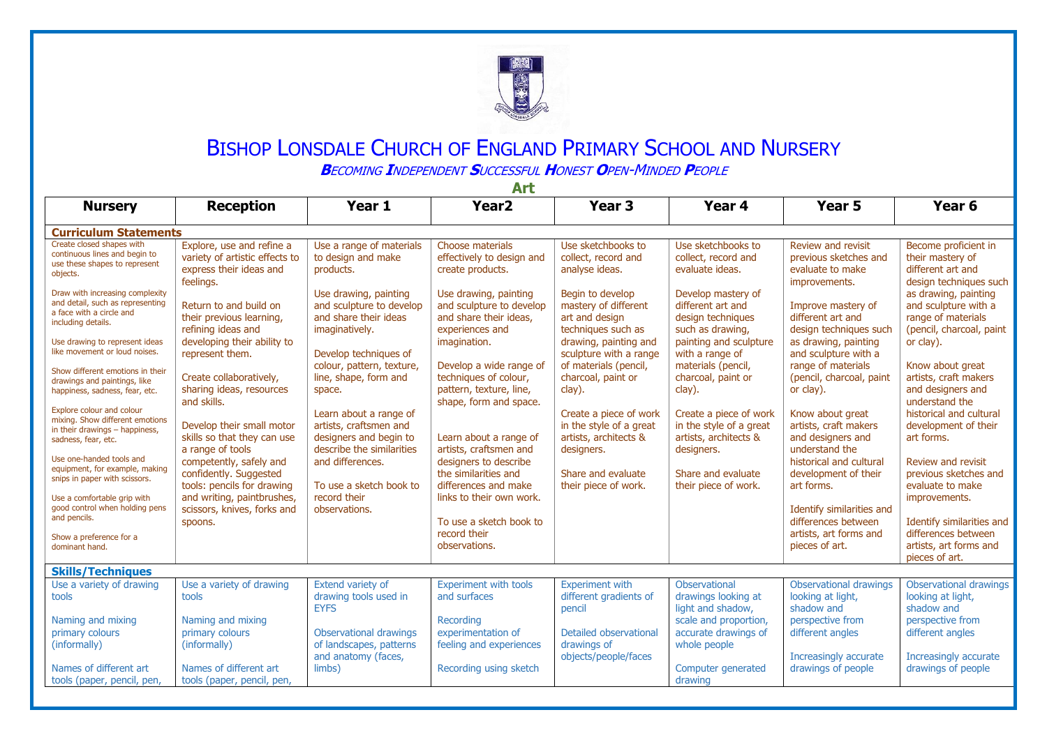

## BISHOP LONSDALE CHURCH OF ENGLAND PRIMARY SCHOOL AND NURSERY

**B**ECOMING **I**NDEPENDENT **S**UCCESSFUL **H**ONEST **O**PEN-MINDED **P**EOPLE

| лич                                                                                                                     |                                                                                                     |                                                                                                         |                                                                                                       |                                                                                          |                                                                                          |                                                                                  |                                                                                                |  |  |  |  |  |
|-------------------------------------------------------------------------------------------------------------------------|-----------------------------------------------------------------------------------------------------|---------------------------------------------------------------------------------------------------------|-------------------------------------------------------------------------------------------------------|------------------------------------------------------------------------------------------|------------------------------------------------------------------------------------------|----------------------------------------------------------------------------------|------------------------------------------------------------------------------------------------|--|--|--|--|--|
| <b>Nursery</b>                                                                                                          | <b>Reception</b>                                                                                    | Year 1                                                                                                  | Year <sub>2</sub>                                                                                     | Year <sub>3</sub>                                                                        | Year 4                                                                                   | Year <sub>5</sub>                                                                | Year <sub>6</sub>                                                                              |  |  |  |  |  |
| <b>Curriculum Statements</b>                                                                                            |                                                                                                     |                                                                                                         |                                                                                                       |                                                                                          |                                                                                          |                                                                                  |                                                                                                |  |  |  |  |  |
| Create closed shapes with<br>continuous lines and begin to<br>use these shapes to represent<br>objects.                 | Explore, use and refine a<br>variety of artistic effects to<br>express their ideas and<br>feelings. | Use a range of materials<br>to design and make<br>products.                                             | Choose materials<br>effectively to design and<br>create products.                                     | Use sketchbooks to<br>collect, record and<br>analyse ideas.                              | Use sketchbooks to<br>collect, record and<br>evaluate ideas.                             | Review and revisit<br>previous sketches and<br>evaluate to make<br>improvements. | Become proficient in<br>their mastery of<br>different art and<br>design techniques such        |  |  |  |  |  |
| Draw with increasing complexity<br>and detail, such as representing<br>a face with a circle and<br>including details.   | Return to and build on<br>their previous learning,<br>refining ideas and                            | Use drawing, painting<br>and sculpture to develop<br>and share their ideas<br>imaginatively.            | Use drawing, painting<br>and sculpture to develop<br>and share their ideas,<br>experiences and        | Begin to develop<br>mastery of different<br>art and design<br>techniques such as         | Develop mastery of<br>different art and<br>design techniques<br>such as drawing,         | Improve mastery of<br>different art and<br>design techniques such                | as drawing, painting<br>and sculpture with a<br>range of materials<br>(pencil, charcoal, paint |  |  |  |  |  |
| Use drawing to represent ideas<br>like movement or loud noises.                                                         | developing their ability to<br>represent them.                                                      | Develop techniques of                                                                                   | imagination.                                                                                          | drawing, painting and<br>sculpture with a range                                          | painting and sculpture<br>with a range of                                                | as drawing, painting<br>and sculpture with a                                     | or clay).                                                                                      |  |  |  |  |  |
| Show different emotions in their<br>drawings and paintings, like<br>happiness, sadness, fear, etc.                      | Create collaboratively,<br>sharing ideas, resources<br>and skills.                                  | colour, pattern, texture,<br>line, shape, form and<br>space.                                            | Develop a wide range of<br>techniques of colour,<br>pattern, texture, line,<br>shape, form and space. | of materials (pencil,<br>charcoal, paint or<br>clay).                                    | materials (pencil,<br>charcoal, paint or<br>clay).                                       | range of materials<br>(pencil, charcoal, paint<br>or clay).                      | Know about great<br>artists, craft makers<br>and designers and<br>understand the               |  |  |  |  |  |
| Explore colour and colour<br>mixing. Show different emotions<br>in their drawings $-$ happiness,<br>sadness, fear, etc. | Develop their small motor<br>skills so that they can use<br>a range of tools                        | Learn about a range of<br>artists, craftsmen and<br>designers and begin to<br>describe the similarities | Learn about a range of<br>artists, craftsmen and                                                      | Create a piece of work<br>in the style of a great<br>artists, architects &<br>designers. | Create a piece of work<br>in the style of a great<br>artists, architects &<br>designers. | Know about great<br>artists, craft makers<br>and designers and<br>understand the | historical and cultural<br>development of their<br>art forms.                                  |  |  |  |  |  |
| Use one-handed tools and<br>equipment, for example, making<br>snips in paper with scissors.                             | competently, safely and<br>confidently. Suggested<br>tools: pencils for drawing                     | and differences.<br>To use a sketch book to                                                             | designers to describe<br>the similarities and<br>differences and make                                 | Share and evaluate<br>their piece of work.                                               | Share and evaluate<br>their piece of work.                                               | historical and cultural<br>development of their<br>art forms.                    | Review and revisit<br>previous sketches and<br>evaluate to make                                |  |  |  |  |  |
| Use a comfortable grip with<br>good control when holding pens<br>and pencils.                                           | and writing, paintbrushes,<br>scissors, knives, forks and<br>spoons.                                | record their<br>observations.                                                                           | links to their own work.<br>To use a sketch book to                                                   |                                                                                          |                                                                                          | Identify similarities and<br>differences between                                 | improvements.<br>Identify similarities and                                                     |  |  |  |  |  |
| Show a preference for a<br>dominant hand.                                                                               |                                                                                                     |                                                                                                         | record their<br>observations.                                                                         |                                                                                          |                                                                                          | artists, art forms and<br>pieces of art.                                         | differences between<br>artists, art forms and<br>pieces of art.                                |  |  |  |  |  |
| <b>Skills/Techniques</b>                                                                                                |                                                                                                     |                                                                                                         |                                                                                                       |                                                                                          |                                                                                          |                                                                                  |                                                                                                |  |  |  |  |  |
| Use a variety of drawing<br>tools                                                                                       | Use a variety of drawing<br>tools                                                                   | Extend variety of<br>drawing tools used in<br><b>EYFS</b>                                               | <b>Experiment with tools</b><br>and surfaces                                                          | <b>Experiment with</b><br>different gradients of<br>pencil                               | Observational<br>drawings looking at<br>light and shadow.                                | <b>Observational drawings</b><br>looking at light,<br>shadow and                 | Observational drawings<br>looking at light,<br>shadow and                                      |  |  |  |  |  |
| Naming and mixing<br>primary colours<br>(informally)                                                                    | Naming and mixing<br>primary colours<br>(informally)                                                | Observational drawings<br>of landscapes, patterns                                                       | Recording<br>experimentation of<br>feeling and experiences                                            | Detailed observational<br>drawings of                                                    | scale and proportion,<br>accurate drawings of<br>whole people                            | perspective from<br>different angles                                             | perspective from<br>different angles                                                           |  |  |  |  |  |
| Names of different art<br>tools (paper, pencil, pen,                                                                    | Names of different art<br>tools (paper, pencil, pen,                                                | and anatomy (faces,<br>limbs)                                                                           | Recording using sketch                                                                                | objects/people/faces                                                                     | Computer generated<br>drawing                                                            | Increasingly accurate<br>drawings of people                                      | Increasingly accurate<br>drawings of people                                                    |  |  |  |  |  |

**Art**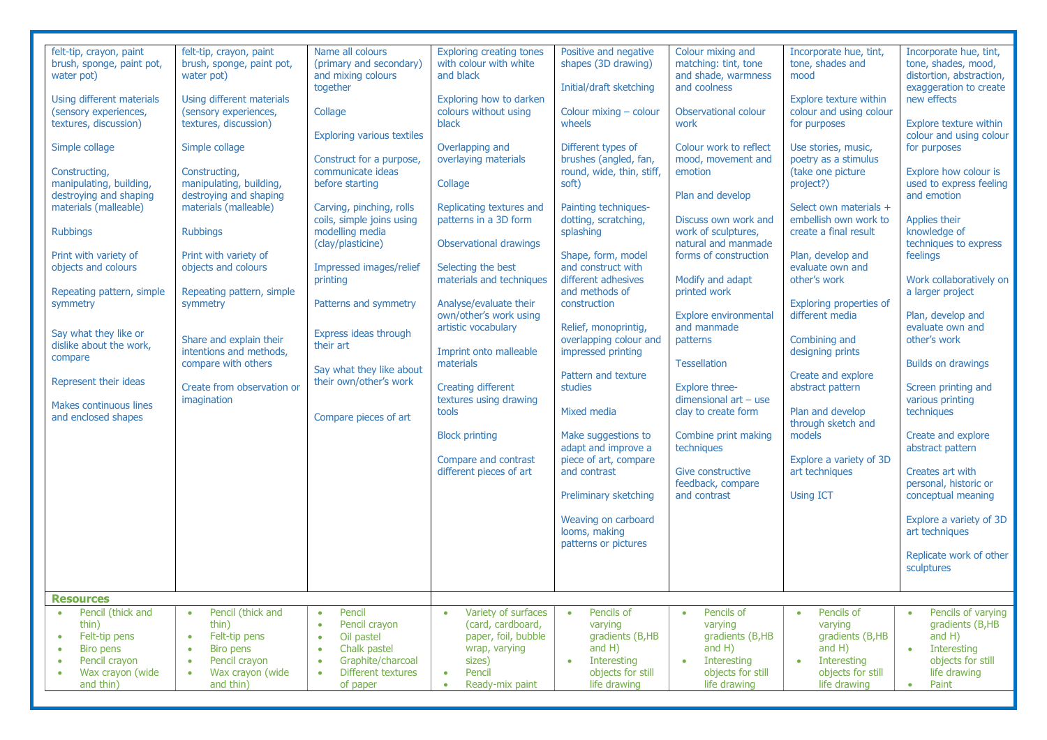| felt-tip, crayon, paint<br>brush, sponge, paint pot,<br>water pot)<br>Using different materials<br>(sensory experiences,<br>textures, discussion)<br>Simple collage<br>Constructing,<br>manipulating, building,<br>destroying and shaping<br>materials (malleable)<br><b>Rubbings</b><br>Print with variety of<br>objects and colours<br>Repeating pattern, simple<br>symmetry<br>Say what they like or<br>dislike about the work,<br>compare<br>Represent their ideas<br><b>Makes continuous lines</b><br>and enclosed shapes | felt-tip, crayon, paint<br>brush, sponge, paint pot,<br>water pot)<br>Using different materials<br>(sensory experiences,<br>textures, discussion)<br>Simple collage<br>Constructing,<br>manipulating, building,<br>destroying and shaping<br>materials (malleable)<br><b>Rubbings</b><br>Print with variety of<br>objects and colours<br>Repeating pattern, simple<br>symmetry<br>Share and explain their<br>intentions and methods,<br>compare with others<br>Create from observation or<br>imagination | Name all colours<br>(primary and secondary)<br>and mixing colours<br>together<br>Collage<br><b>Exploring various textiles</b><br>Construct for a purpose,<br>communicate ideas<br>before starting<br>Carving, pinching, rolls<br>coils, simple joins using<br>modelling media<br>(clay/plasticine)<br>Impressed images/relief<br>printing<br>Patterns and symmetry<br>Express ideas through<br>their art<br>Say what they like about<br>their own/other's work<br>Compare pieces of art | <b>Exploring creating tones</b><br>with colour with white<br>and black<br>Exploring how to darken<br>colours without using<br>black<br>Overlapping and<br>overlaying materials<br>Collage<br>Replicating textures and<br>patterns in a 3D form<br><b>Observational drawings</b><br>Selecting the best<br>materials and techniques<br>Analyse/evaluate their<br>own/other's work using<br>artistic vocabulary<br>Imprint onto malleable<br>materials<br><b>Creating different</b><br>textures using drawing<br>tools<br><b>Block printing</b><br>Compare and contrast<br>different pieces of art | Positive and negative<br>shapes (3D drawing)<br>Initial/draft sketching<br>Colour mixing - colour<br>wheels<br>Different types of<br>brushes (angled, fan,<br>round, wide, thin, stiff,<br>soft)<br>Painting techniques-<br>dotting, scratching,<br>splashing<br>Shape, form, model<br>and construct with<br>different adhesives<br>and methods of<br>construction<br>Relief, monoprintia,<br>overlapping colour and<br>impressed printing<br>Pattern and texture<br>studies<br>Mixed media<br>Make suggestions to<br>adapt and improve a<br>piece of art, compare<br>and contrast<br>Preliminary sketching<br>Weaving on carboard<br>looms, making<br>patterns or pictures | Colour mixing and<br>matching: tint, tone<br>and shade, warmness<br>and coolness<br>Observational colour<br>work<br>Colour work to reflect<br>mood, movement and<br>emotion<br>Plan and develop<br>Discuss own work and<br>work of sculptures,<br>natural and manmade<br>forms of construction<br>Modify and adapt<br>printed work<br>Explore environmental<br>and manmade<br>patterns<br><b>Tessellation</b><br><b>Explore three-</b><br>dimensional $art - use$<br>clay to create form<br>Combine print making<br>techniques<br>Give constructive<br>feedback, compare<br>and contrast | Incorporate hue, tint,<br>tone, shades and<br>mood<br>Explore texture within<br>colour and using colour<br>for purposes<br>Use stories, music,<br>poetry as a stimulus<br>(take one picture<br>project?)<br>Select own materials +<br>embellish own work to<br>create a final result<br>Plan, develop and<br>evaluate own and<br>other's work<br>Exploring properties of<br>different media<br>Combining and<br>designing prints<br>Create and explore<br>abstract pattern<br>Plan and develop<br>through sketch and<br>models<br>Explore a variety of 3D<br>art techniques<br><b>Using ICT</b> | Incorporate hue, tint,<br>tone, shades, mood,<br>distortion, abstraction,<br>exaggeration to create<br>new effects<br>Explore texture within<br>colour and using colour<br>for purposes<br>Explore how colour is<br>used to express feeling<br>and emotion<br>Applies their<br>knowledge of<br>techniques to express<br>feelings<br>Work collaboratively on<br>a larger project<br>Plan, develop and<br>evaluate own and<br>other's work<br><b>Builds on drawings</b><br>Screen printing and<br>various printing<br>techniques<br>Create and explore<br>abstract pattern<br>Creates art with<br>personal, historic or<br>conceptual meaning<br>Explore a variety of 3D<br>art techniques<br>Replicate work of other |
|--------------------------------------------------------------------------------------------------------------------------------------------------------------------------------------------------------------------------------------------------------------------------------------------------------------------------------------------------------------------------------------------------------------------------------------------------------------------------------------------------------------------------------|----------------------------------------------------------------------------------------------------------------------------------------------------------------------------------------------------------------------------------------------------------------------------------------------------------------------------------------------------------------------------------------------------------------------------------------------------------------------------------------------------------|-----------------------------------------------------------------------------------------------------------------------------------------------------------------------------------------------------------------------------------------------------------------------------------------------------------------------------------------------------------------------------------------------------------------------------------------------------------------------------------------|-------------------------------------------------------------------------------------------------------------------------------------------------------------------------------------------------------------------------------------------------------------------------------------------------------------------------------------------------------------------------------------------------------------------------------------------------------------------------------------------------------------------------------------------------------------------------------------------------|-----------------------------------------------------------------------------------------------------------------------------------------------------------------------------------------------------------------------------------------------------------------------------------------------------------------------------------------------------------------------------------------------------------------------------------------------------------------------------------------------------------------------------------------------------------------------------------------------------------------------------------------------------------------------------|------------------------------------------------------------------------------------------------------------------------------------------------------------------------------------------------------------------------------------------------------------------------------------------------------------------------------------------------------------------------------------------------------------------------------------------------------------------------------------------------------------------------------------------------------------------------------------------|-------------------------------------------------------------------------------------------------------------------------------------------------------------------------------------------------------------------------------------------------------------------------------------------------------------------------------------------------------------------------------------------------------------------------------------------------------------------------------------------------------------------------------------------------------------------------------------------------|---------------------------------------------------------------------------------------------------------------------------------------------------------------------------------------------------------------------------------------------------------------------------------------------------------------------------------------------------------------------------------------------------------------------------------------------------------------------------------------------------------------------------------------------------------------------------------------------------------------------------------------------------------------------------------------------------------------------|
|                                                                                                                                                                                                                                                                                                                                                                                                                                                                                                                                |                                                                                                                                                                                                                                                                                                                                                                                                                                                                                                          |                                                                                                                                                                                                                                                                                                                                                                                                                                                                                         |                                                                                                                                                                                                                                                                                                                                                                                                                                                                                                                                                                                                 |                                                                                                                                                                                                                                                                                                                                                                                                                                                                                                                                                                                                                                                                             |                                                                                                                                                                                                                                                                                                                                                                                                                                                                                                                                                                                          |                                                                                                                                                                                                                                                                                                                                                                                                                                                                                                                                                                                                 | sculptures                                                                                                                                                                                                                                                                                                                                                                                                                                                                                                                                                                                                                                                                                                          |
|                                                                                                                                                                                                                                                                                                                                                                                                                                                                                                                                |                                                                                                                                                                                                                                                                                                                                                                                                                                                                                                          |                                                                                                                                                                                                                                                                                                                                                                                                                                                                                         |                                                                                                                                                                                                                                                                                                                                                                                                                                                                                                                                                                                                 |                                                                                                                                                                                                                                                                                                                                                                                                                                                                                                                                                                                                                                                                             |                                                                                                                                                                                                                                                                                                                                                                                                                                                                                                                                                                                          |                                                                                                                                                                                                                                                                                                                                                                                                                                                                                                                                                                                                 |                                                                                                                                                                                                                                                                                                                                                                                                                                                                                                                                                                                                                                                                                                                     |
| <b>Resources</b>                                                                                                                                                                                                                                                                                                                                                                                                                                                                                                               |                                                                                                                                                                                                                                                                                                                                                                                                                                                                                                          |                                                                                                                                                                                                                                                                                                                                                                                                                                                                                         |                                                                                                                                                                                                                                                                                                                                                                                                                                                                                                                                                                                                 |                                                                                                                                                                                                                                                                                                                                                                                                                                                                                                                                                                                                                                                                             |                                                                                                                                                                                                                                                                                                                                                                                                                                                                                                                                                                                          |                                                                                                                                                                                                                                                                                                                                                                                                                                                                                                                                                                                                 |                                                                                                                                                                                                                                                                                                                                                                                                                                                                                                                                                                                                                                                                                                                     |
| Pencil (thick and<br>$\bullet$<br>thin)<br>Felt-tip pens<br>$\bullet$<br><b>Biro pens</b><br>۰<br>Pencil crayon<br>$\bullet$<br>Wax crayon (wide<br>۰<br>and thin)                                                                                                                                                                                                                                                                                                                                                             | Pencil (thick and<br>$\bullet$<br>thin)<br>Felt-tip pens<br>$\bullet$<br>Biro pens<br>$\bullet$<br>Pencil crayon<br>$\bullet$<br>Wax crayon (wide<br>$\bullet$<br>and thin)                                                                                                                                                                                                                                                                                                                              | Pencil<br>$\bullet$<br>Pencil crayon<br>$\bullet$<br>Oil pastel<br>$\bullet$<br>Chalk pastel<br>$\bullet$<br>Graphite/charcoal<br>$\bullet$<br>Different textures<br>of paper                                                                                                                                                                                                                                                                                                           | Variety of surfaces<br>$\bullet$<br>(card, cardboard,<br>paper, foil, bubble<br>wrap, varying<br>sizes)<br>Pencil<br>$\bullet$<br>Ready-mix paint<br>$\bullet$                                                                                                                                                                                                                                                                                                                                                                                                                                  | Pencils of<br>$\bullet$<br>varying<br>gradients (B,HB<br>and $H$ )<br>Interesting<br>$\bullet$<br>objects for still<br>life drawing                                                                                                                                                                                                                                                                                                                                                                                                                                                                                                                                         | Pencils of<br>$\bullet$<br>varying<br>gradients (B,HB<br>and $H$ )<br>Interesting<br>$\bullet$<br>objects for still<br>life drawing                                                                                                                                                                                                                                                                                                                                                                                                                                                      | Pencils of<br>$\bullet$<br>varying<br>gradients (B,HB<br>and $H$ )<br>Interesting<br>$\bullet$<br>objects for still<br>life drawing                                                                                                                                                                                                                                                                                                                                                                                                                                                             | Pencils of varying<br>gradients (B,HB<br>and $H$ )<br>Interesting<br>$\bullet$<br>objects for still<br>life drawing<br>Paint<br>$\bullet$                                                                                                                                                                                                                                                                                                                                                                                                                                                                                                                                                                           |